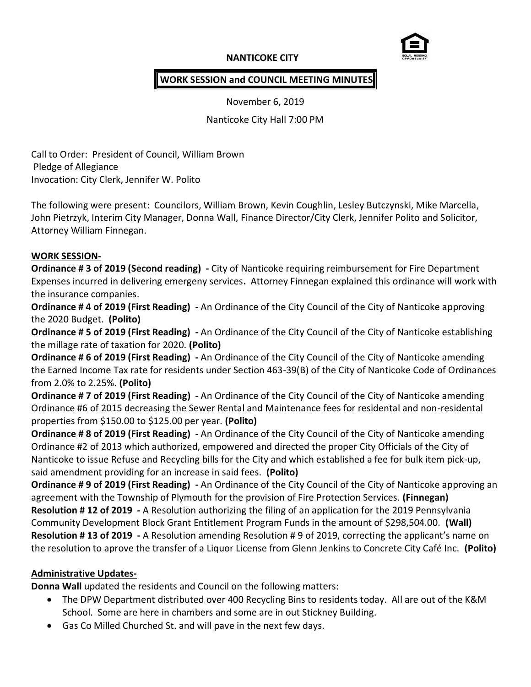### **NANTICOKE CITY**



### **WORK SESSION and COUNCIL MEETING MINUTES**

November 6, 2019

Nanticoke City Hall 7:00 PM

Call to Order: President of Council, William Brown Pledge of Allegiance Invocation: City Clerk, Jennifer W. Polito

The following were present: Councilors, William Brown, Kevin Coughlin, Lesley Butczynski, Mike Marcella, John Pietrzyk, Interim City Manager, Donna Wall, Finance Director/City Clerk, Jennifer Polito and Solicitor, Attorney William Finnegan.

#### **WORK SESSION-**

**Ordinance # 3 of 2019 (Second reading) -** City of Nanticoke requiring reimbursement for Fire Department Expenses incurred in delivering emergeny services**.** Attorney Finnegan explained this ordinance will work with the insurance companies.

**Ordinance # 4 of 2019 (First Reading) -** An Ordinance of the City Council of the City of Nanticoke approving the 2020 Budget. **(Polito)**

**Ordinance # 5 of 2019 (First Reading) -** An Ordinance of the City Council of the City of Nanticoke establishing the millage rate of taxation for 2020. **(Polito)**

**Ordinance # 6 of 2019 (First Reading) -** An Ordinance of the City Council of the City of Nanticoke amending the Earned Income Tax rate for residents under Section 463-39(B) of the City of Nanticoke Code of Ordinances from 2.0% to 2.25%. **(Polito)**

**Ordinance # 7 of 2019 (First Reading) -** An Ordinance of the City Council of the City of Nanticoke amending Ordinance #6 of 2015 decreasing the Sewer Rental and Maintenance fees for residental and non-residental properties from \$150.00 to \$125.00 per year. **(Polito)**

**Ordinance # 8 of 2019 (First Reading) -** An Ordinance of the City Council of the City of Nanticoke amending Ordinance #2 of 2013 which authorized, empowered and directed the proper City Officials of the City of Nanticoke to issue Refuse and Recycling bills for the City and which established a fee for bulk item pick-up, said amendment providing for an increase in said fees. **(Polito)**

**Ordinance # 9 of 2019 (First Reading) -** An Ordinance of the City Council of the City of Nanticoke approving an agreement with the Township of Plymouth for the provision of Fire Protection Services. **(Finnegan) Resolution # 12 of 2019 -** A Resolution authorizing the filing of an application for the 2019 Pennsylvania Community Development Block Grant Entitlement Program Funds in the amount of \$298,504.00. **(Wall) Resolution # 13 of 2019 -** A Resolution amending Resolution # 9 of 2019, correcting the applicant's name on the resolution to aprove the transfer of a Liquor License from Glenn Jenkins to Concrete City Café Inc. **(Polito)**

### **Administrative Updates-**

**Donna Wall** updated the residents and Council on the following matters:

- The DPW Department distributed over 400 Recycling Bins to residents today. All are out of the K&M School. Some are here in chambers and some are in out Stickney Building.
- Gas Co Milled Churched St. and will pave in the next few days.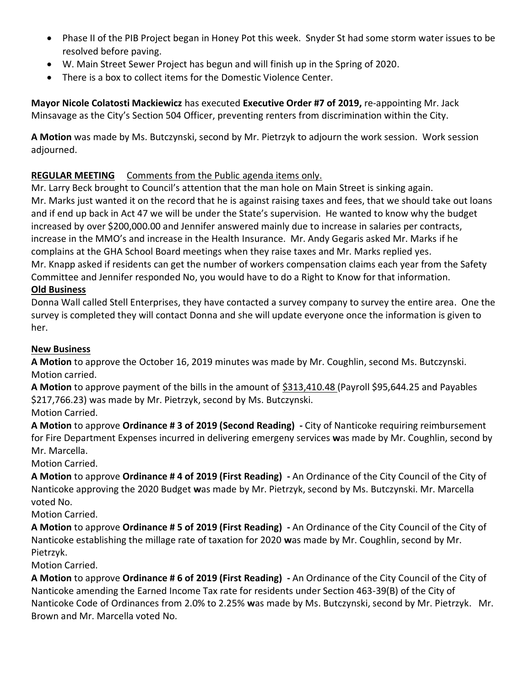- Phase II of the PIB Project began in Honey Pot this week. Snyder St had some storm water issues to be resolved before paving.
- W. Main Street Sewer Project has begun and will finish up in the Spring of 2020.
- There is a box to collect items for the Domestic Violence Center.

**Mayor Nicole Colatosti Mackiewicz** has executed **Executive Order #7 of 2019,** re-appointing Mr. Jack Minsavage as the City's Section 504 Officer, preventing renters from discrimination within the City.

**A Motion** was made by Ms. Butczynski, second by Mr. Pietrzyk to adjourn the work session. Work session adjourned.

# **REGULAR MEETING** Comments from the Public agenda items only.

Mr. Larry Beck brought to Council's attention that the man hole on Main Street is sinking again. Mr. Marks just wanted it on the record that he is against raising taxes and fees, that we should take out loans and if end up back in Act 47 we will be under the State's supervision. He wanted to know why the budget increased by over \$200,000.00 and Jennifer answered mainly due to increase in salaries per contracts, increase in the MMO's and increase in the Health Insurance. Mr. Andy Gegaris asked Mr. Marks if he complains at the GHA School Board meetings when they raise taxes and Mr. Marks replied yes. Mr. Knapp asked if residents can get the number of workers compensation claims each year from the Safety Committee and Jennifer responded No, you would have to do a Right to Know for that information.

## **Old Business**

Donna Wall called Stell Enterprises, they have contacted a survey company to survey the entire area. One the survey is completed they will contact Donna and she will update everyone once the information is given to her.

### **New Business**

**A Motion** to approve the October 16, 2019 minutes was made by Mr. Coughlin, second Ms. Butczynski. Motion carried.

**A Motion** to approve payment of the bills in the amount of \$313,410.48 (Payroll \$95,644.25 and Payables \$217,766.23) was made by Mr. Pietrzyk, second by Ms. Butczynski.

Motion Carried.

**A Motion** to approve **Ordinance # 3 of 2019 (Second Reading) -** City of Nanticoke requiring reimbursement for Fire Department Expenses incurred in delivering emergeny services **w**as made by Mr. Coughlin, second by Mr. Marcella.

Motion Carried.

**A Motion** to approve **Ordinance # 4 of 2019 (First Reading) -** An Ordinance of the City Council of the City of Nanticoke approving the 2020 Budget **w**as made by Mr. Pietrzyk, second by Ms. Butczynski. Mr. Marcella voted No.

Motion Carried.

**A Motion** to approve **Ordinance # 5 of 2019 (First Reading) -** An Ordinance of the City Council of the City of Nanticoke establishing the millage rate of taxation for 2020 **w**as made by Mr. Coughlin, second by Mr. Pietrzyk.

Motion Carried.

**A Motion** to approve **Ordinance # 6 of 2019 (First Reading) -** An Ordinance of the City Council of the City of Nanticoke amending the Earned Income Tax rate for residents under Section 463-39(B) of the City of Nanticoke Code of Ordinances from 2.0% to 2.25% **w**as made by Ms. Butczynski, second by Mr. Pietrzyk. Mr. Brown and Mr. Marcella voted No.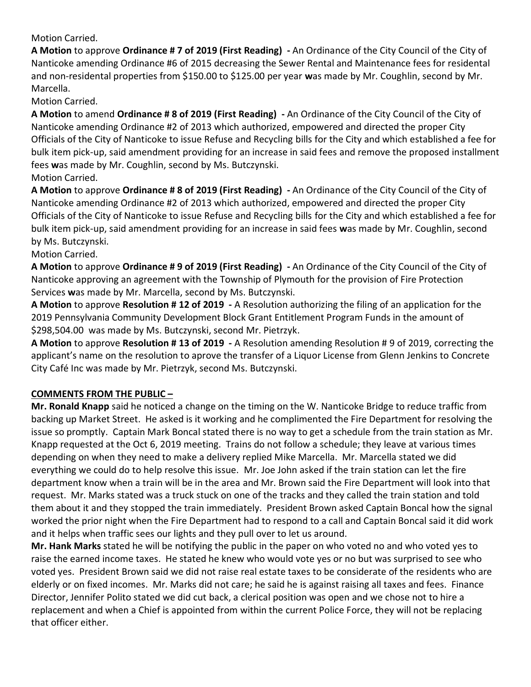Motion Carried.

**A Motion** to approve **Ordinance # 7 of 2019 (First Reading) -** An Ordinance of the City Council of the City of Nanticoke amending Ordinance #6 of 2015 decreasing the Sewer Rental and Maintenance fees for residental and non-residental properties from \$150.00 to \$125.00 per year **w**as made by Mr. Coughlin, second by Mr. Marcella.

Motion Carried.

**A Motion** to amend **Ordinance # 8 of 2019 (First Reading) -** An Ordinance of the City Council of the City of Nanticoke amending Ordinance #2 of 2013 which authorized, empowered and directed the proper City Officials of the City of Nanticoke to issue Refuse and Recycling bills for the City and which established a fee for bulk item pick-up, said amendment providing for an increase in said fees and remove the proposed installment fees **w**as made by Mr. Coughlin, second by Ms. Butczynski. Motion Carried.

**A Motion** to approve **Ordinance # 8 of 2019 (First Reading) -** An Ordinance of the City Council of the City of Nanticoke amending Ordinance #2 of 2013 which authorized, empowered and directed the proper City Officials of the City of Nanticoke to issue Refuse and Recycling bills for the City and which established a fee for bulk item pick-up, said amendment providing for an increase in said fees **w**as made by Mr. Coughlin, second by Ms. Butczynski.

### Motion Carried.

**A Motion** to approve **Ordinance # 9 of 2019 (First Reading) -** An Ordinance of the City Council of the City of Nanticoke approving an agreement with the Township of Plymouth for the provision of Fire Protection Services **w**as made by Mr. Marcella, second by Ms. Butczynski.

**A Motion** to approve **Resolution # 12 of 2019 -** A Resolution authorizing the filing of an application for the 2019 Pennsylvania Community Development Block Grant Entitlement Program Funds in the amount of \$298,504.00was made by Ms. Butczynski, second Mr. Pietrzyk.

**A Motion** to approve **Resolution # 13 of 2019 -** A Resolution amending Resolution # 9 of 2019, correcting the applicant's name on the resolution to aprove the transfer of a Liquor License from Glenn Jenkins to Concrete City Café Inc was made by Mr. Pietrzyk, second Ms. Butczynski.

## **COMMENTS FROM THE PUBLIC –**

**Mr. Ronald Knapp** said he noticed a change on the timing on the W. Nanticoke Bridge to reduce traffic from backing up Market Street. He asked is it working and he complimented the Fire Department for resolving the issue so promptly. Captain Mark Boncal stated there is no way to get a schedule from the train station as Mr. Knapp requested at the Oct 6, 2019 meeting. Trains do not follow a schedule; they leave at various times depending on when they need to make a delivery replied Mike Marcella. Mr. Marcella stated we did everything we could do to help resolve this issue. Mr. Joe John asked if the train station can let the fire department know when a train will be in the area and Mr. Brown said the Fire Department will look into that request. Mr. Marks stated was a truck stuck on one of the tracks and they called the train station and told them about it and they stopped the train immediately. President Brown asked Captain Boncal how the signal worked the prior night when the Fire Department had to respond to a call and Captain Boncal said it did work and it helps when traffic sees our lights and they pull over to let us around.

**Mr. Hank Marks** stated he will be notifying the public in the paper on who voted no and who voted yes to raise the earned income taxes. He stated he knew who would vote yes or no but was surprised to see who voted yes. President Brown said we did not raise real estate taxes to be considerate of the residents who are elderly or on fixed incomes. Mr. Marks did not care; he said he is against raising all taxes and fees. Finance Director, Jennifer Polito stated we did cut back, a clerical position was open and we chose not to hire a replacement and when a Chief is appointed from within the current Police Force, they will not be replacing that officer either.